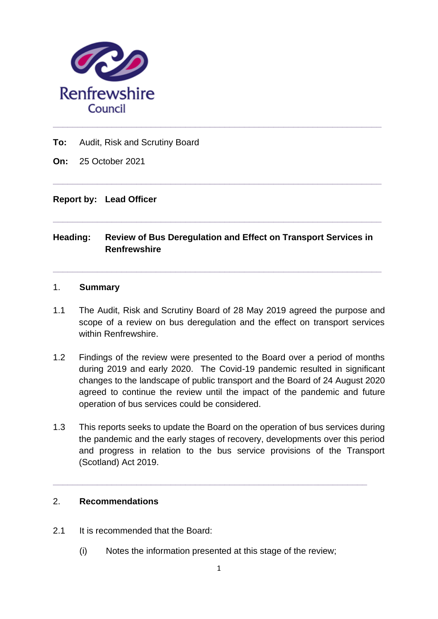

**To:** Audit, Risk and Scrutiny Board

**On:** 25 October 2021

#### **Report by: Lead Officer**

## **Heading: Review of Bus Deregulation and Effect on Transport Services in Renfrewshire**

**\_\_\_\_\_\_\_\_\_\_\_\_\_\_\_\_\_\_\_\_\_\_\_\_\_\_\_\_\_\_\_\_\_\_\_\_\_\_\_\_\_\_\_\_\_\_\_\_\_\_\_\_\_\_\_\_\_\_\_\_\_\_\_\_\_\_\_**

**\_\_\_\_\_\_\_\_\_\_\_\_\_\_\_\_\_\_\_\_\_\_\_\_\_\_\_\_\_\_\_\_\_\_\_\_\_\_\_\_\_\_\_\_\_\_\_\_\_\_\_\_\_\_\_\_\_\_\_\_\_\_\_\_\_\_\_**

**\_\_\_\_\_\_\_\_\_\_\_\_\_\_\_\_\_\_\_\_\_\_\_\_\_\_\_\_\_\_\_\_\_\_\_\_\_\_\_\_\_\_\_\_\_\_\_\_\_\_\_\_\_\_\_\_\_\_\_\_\_\_\_\_\_\_\_**

**\_\_\_\_\_\_\_\_\_\_\_\_\_\_\_\_\_\_\_\_\_\_\_\_\_\_\_\_\_\_\_\_\_\_\_\_\_\_\_\_\_\_\_\_\_\_\_\_\_\_\_\_\_\_\_\_\_\_\_\_\_\_\_\_\_\_\_**

#### 1. **Summary**

- 1.1 The Audit, Risk and Scrutiny Board of 28 May 2019 agreed the purpose and scope of a review on bus deregulation and the effect on transport services within Renfrewshire.
- 1.2 Findings of the review were presented to the Board over a period of months during 2019 and early 2020. The Covid-19 pandemic resulted in significant changes to the landscape of public transport and the Board of 24 August 2020 agreed to continue the review until the impact of the pandemic and future operation of bus services could be considered.
- 1.3 This reports seeks to update the Board on the operation of bus services during the pandemic and the early stages of recovery, developments over this period and progress in relation to the bus service provisions of the Transport (Scotland) Act 2019.

#### 2. **Recommendations**

- 2.1 It is recommended that the Board:
	- (i) Notes the information presented at this stage of the review;

**\_\_\_\_\_\_\_\_\_\_\_\_\_\_\_\_\_\_\_\_\_\_\_\_\_\_\_\_\_\_\_\_\_\_\_\_\_\_\_\_\_\_\_\_\_\_\_\_\_\_\_\_\_\_\_\_\_\_\_\_\_\_\_\_**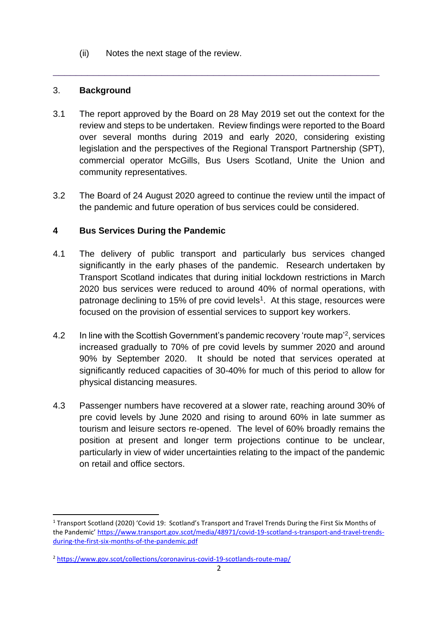(ii) Notes the next stage of the review.

### 3. **Background**

3.1 The report approved by the Board on 28 May 2019 set out the context for the review and steps to be undertaken. Review findings were reported to the Board over several months during 2019 and early 2020, considering existing legislation and the perspectives of the Regional Transport Partnership (SPT), commercial operator McGills, Bus Users Scotland, Unite the Union and community representatives.

\_\_\_\_\_\_\_\_\_\_\_\_\_\_\_\_\_\_\_\_\_\_\_\_\_\_\_\_\_\_\_\_\_\_\_\_\_\_\_\_\_\_\_\_\_\_\_\_\_\_\_\_\_\_\_\_\_

3.2 The Board of 24 August 2020 agreed to continue the review until the impact of the pandemic and future operation of bus services could be considered.

## **4 Bus Services During the Pandemic**

- 4.1 The delivery of public transport and particularly bus services changed significantly in the early phases of the pandemic. Research undertaken by Transport Scotland indicates that during initial lockdown restrictions in March 2020 bus services were reduced to around 40% of normal operations, with patronage declining to 15% of pre covid levels<sup>1</sup>. At this stage, resources were focused on the provision of essential services to support key workers.
- 4.2 In line with the Scottish Government's pandemic recovery 'route map'<sup>2</sup>, services increased gradually to 70% of pre covid levels by summer 2020 and around 90% by September 2020. It should be noted that services operated at significantly reduced capacities of 30-40% for much of this period to allow for physical distancing measures.
- 4.3 Passenger numbers have recovered at a slower rate, reaching around 30% of pre covid levels by June 2020 and rising to around 60% in late summer as tourism and leisure sectors re-opened. The level of 60% broadly remains the position at present and longer term projections continue to be unclear, particularly in view of wider uncertainties relating to the impact of the pandemic on retail and office sectors.

<sup>1</sup> Transport Scotland (2020) 'Covid 19: Scotland's Transport and Travel Trends During the First Six Months of the Pandemic' [https://www.transport.gov.scot/media/48971/covid-19-scotland-s-transport-and-travel-trends](https://www.transport.gov.scot/media/48971/covid-19-scotland-s-transport-and-travel-trends-during-the-first-six-months-of-the-pandemic.pdf)[during-the-first-six-months-of-the-pandemic.pdf](https://www.transport.gov.scot/media/48971/covid-19-scotland-s-transport-and-travel-trends-during-the-first-six-months-of-the-pandemic.pdf)

<sup>2</sup> <https://www.gov.scot/collections/coronavirus-covid-19-scotlands-route-map/>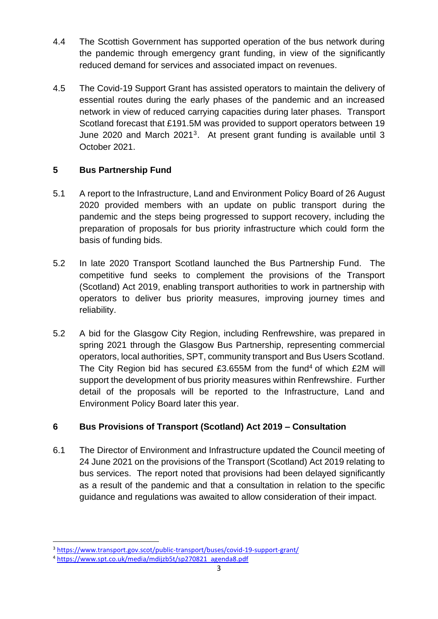- 4.4 The Scottish Government has supported operation of the bus network during the pandemic through emergency grant funding, in view of the significantly reduced demand for services and associated impact on revenues.
- 4.5 The Covid-19 Support Grant has assisted operators to maintain the delivery of essential routes during the early phases of the pandemic and an increased network in view of reduced carrying capacities during later phases. Transport Scotland forecast that £191.5M was provided to support operators between 19 June 2020 and March 2021<sup>3</sup>. At present grant funding is available until 3 October 2021.

# **5 Bus Partnership Fund**

- 5.1 A report to the Infrastructure, Land and Environment Policy Board of 26 August 2020 provided members with an update on public transport during the pandemic and the steps being progressed to support recovery, including the preparation of proposals for bus priority infrastructure which could form the basis of funding bids.
- 5.2 In late 2020 Transport Scotland launched the Bus Partnership Fund. The competitive fund seeks to complement the provisions of the Transport (Scotland) Act 2019, enabling transport authorities to work in partnership with operators to deliver bus priority measures, improving journey times and reliability.
- 5.2 A bid for the Glasgow City Region, including Renfrewshire, was prepared in spring 2021 through the Glasgow Bus Partnership, representing commercial operators, local authorities, SPT, community transport and Bus Users Scotland. The City Region bid has secured £3.655M from the fund<sup>4</sup> of which  $£2M$  will support the development of bus priority measures within Renfrewshire. Further detail of the proposals will be reported to the Infrastructure, Land and Environment Policy Board later this year.

# **6 Bus Provisions of Transport (Scotland) Act 2019 – Consultation**

6.1 The Director of Environment and Infrastructure updated the Council meeting of 24 June 2021 on the provisions of the Transport (Scotland) Act 2019 relating to bus services. The report noted that provisions had been delayed significantly as a result of the pandemic and that a consultation in relation to the specific guidance and regulations was awaited to allow consideration of their impact.

<sup>3</sup> <https://www.transport.gov.scot/public-transport/buses/covid-19-support-grant/>

<sup>4</sup> [https://www.spt.co.uk/media/mdijzb5t/sp270821\\_agenda8.pdf](https://www.spt.co.uk/media/mdijzb5t/sp270821_agenda8.pdf)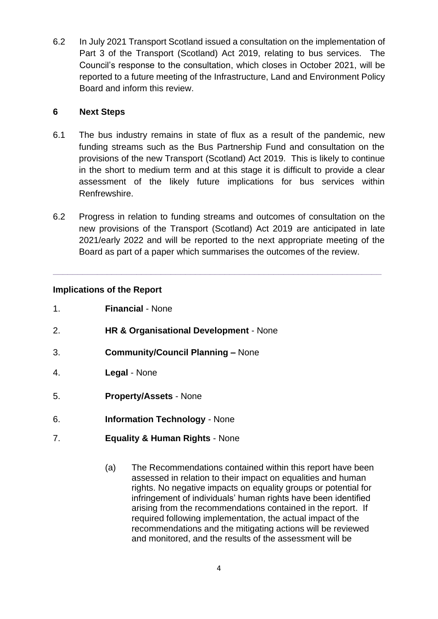6.2 In July 2021 Transport Scotland issued a consultation on the implementation of Part 3 of the Transport (Scotland) Act 2019, relating to bus services. The Council's response to the consultation, which closes in October 2021, will be reported to a future meeting of the Infrastructure, Land and Environment Policy Board and inform this review.

### **6 Next Steps**

- 6.1 The bus industry remains in state of flux as a result of the pandemic, new funding streams such as the Bus Partnership Fund and consultation on the provisions of the new Transport (Scotland) Act 2019. This is likely to continue in the short to medium term and at this stage it is difficult to provide a clear assessment of the likely future implications for bus services within Renfrewshire.
- 6.2 Progress in relation to funding streams and outcomes of consultation on the new provisions of the Transport (Scotland) Act 2019 are anticipated in late 2021/early 2022 and will be reported to the next appropriate meeting of the Board as part of a paper which summarises the outcomes of the review.

**\_\_\_\_\_\_\_\_\_\_\_\_\_\_\_\_\_\_\_\_\_\_\_\_\_\_\_\_\_\_\_\_\_\_\_\_\_\_\_\_\_\_\_\_\_\_\_\_\_\_\_\_\_\_\_\_\_\_\_\_\_\_\_\_\_\_\_**

### **Implications of the Report**

- 2. **HR & Organisational Development** None
- 3. **Community/Council Planning –** None
- 4. **Legal** None
- 5. **Property/Assets** None
- 6. **Information Technology** None
- 7. **Equality & Human Rights** None
	- (a) The Recommendations contained within this report have been assessed in relation to their impact on equalities and human rights. No negative impacts on equality groups or potential for infringement of individuals' human rights have been identified arising from the recommendations contained in the report. If required following implementation, the actual impact of the recommendations and the mitigating actions will be reviewed and monitored, and the results of the assessment will be